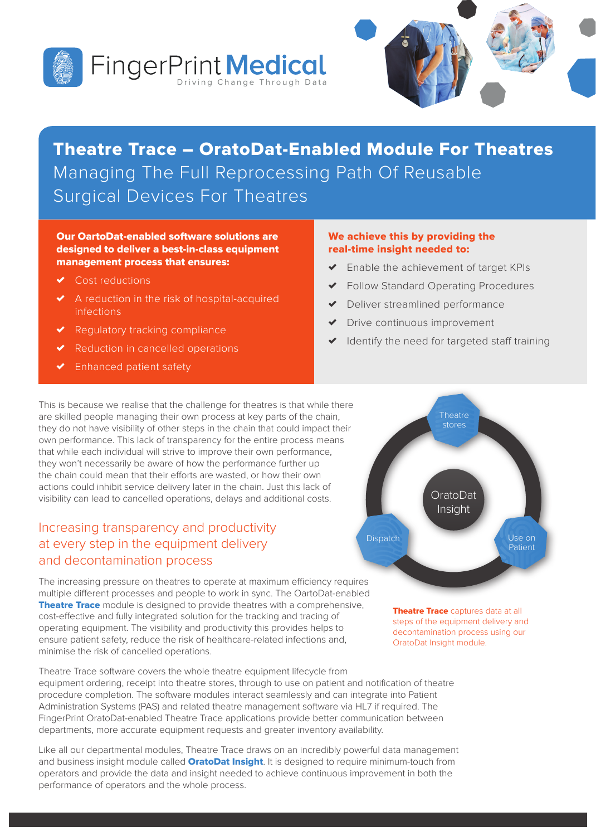



# Theatre Trace – OratoDat-Enabled Module For Theatres Managing The Full Reprocessing Path Of Reusable Surgical Devices For Theatres

#### Our OartoDat-enabled software solutions are designed to deliver a best-in-class equipment management process that ensures:

- Cost reductions
- ✗ A reduction in the risk of hospital-acquired infections
- Regulatory tracking compliance
- Reduction in cancelled operations
- Enhanced patient safety

#### We achieve this by providing the real-time insight needed to:

- Enable the achievement of target KPIs
- ✗ Follow Standard Operating Procedures
- Deliver streamlined performance
- Drive continuous improvement
- Identify the need for targeted staff training

This is because we realise that the challenge for theatres is that while there are skilled people managing their own process at key parts of the chain, they do not have visibility of other steps in the chain that could impact their own performance. This lack of transparency for the entire process means that while each individual will strive to improve their own performance, they won't necessarily be aware of how the performance further up the chain could mean that their efforts are wasted, or how their own actions could inhibit service delivery later in the chain. Just this lack of visibility can lead to cancelled operations, delays and additional costs.

### Increasing transparency and productivity at every step in the equipment delivery and decontamination process

The increasing pressure on theatres to operate at maximum efficiency requires multiple different processes and people to work in sync. The OartoDat-enabled Theatre Trace module is designed to provide theatres with a comprehensive, cost-effective and fully integrated solution for the tracking and tracing of operating equipment. The visibility and productivity this provides helps to ensure patient safety, reduce the risk of healthcare-related infections and, minimise the risk of cancelled operations.

Theatre Trace software covers the whole theatre equipment lifecycle from equipment ordering, receipt into theatre stores, through to use on patient and notification of theatre procedure completion. The software modules interact seamlessly and can integrate into Patient Administration Systems (PAS) and related theatre management software via HL7 if required. The FingerPrint OratoDat-enabled Theatre Trace applications provide better communication between departments, more accurate equipment requests and greater inventory availability.

Like all our departmental modules, Theatre Trace draws on an incredibly powerful data management and business insight module called **OratoDat Insight**. It is designed to require minimum-touch from operators and provide the data and insight needed to achieve continuous improvement in both the performance of operators and the whole process.



Theatre Trace captures data at all steps of the equipment delivery and decontamination process using our OratoDat Insight module.